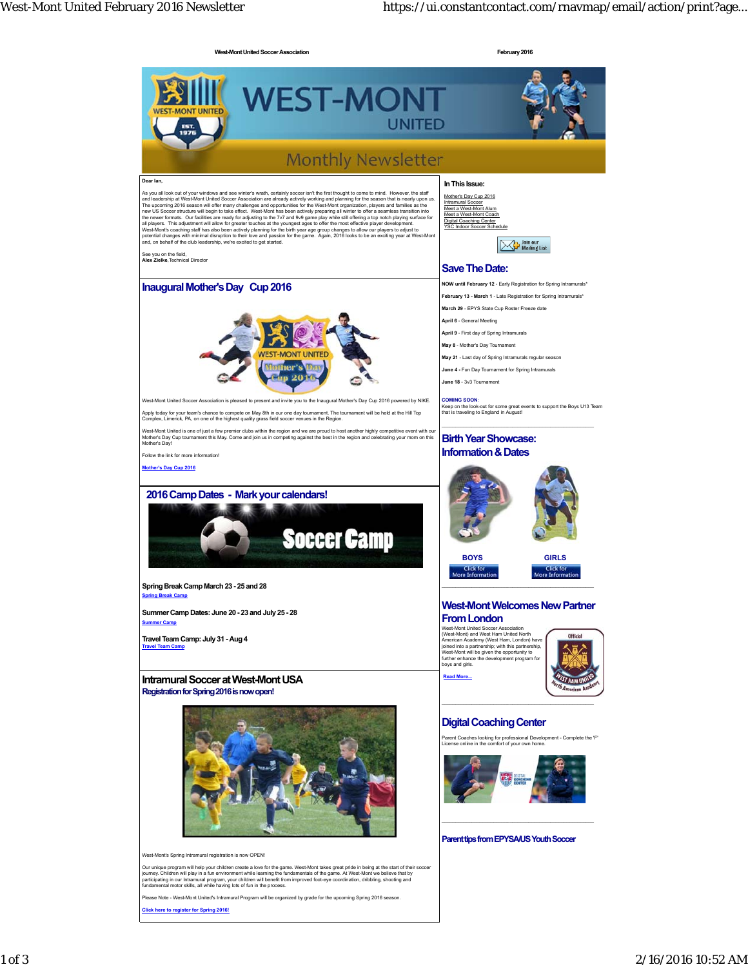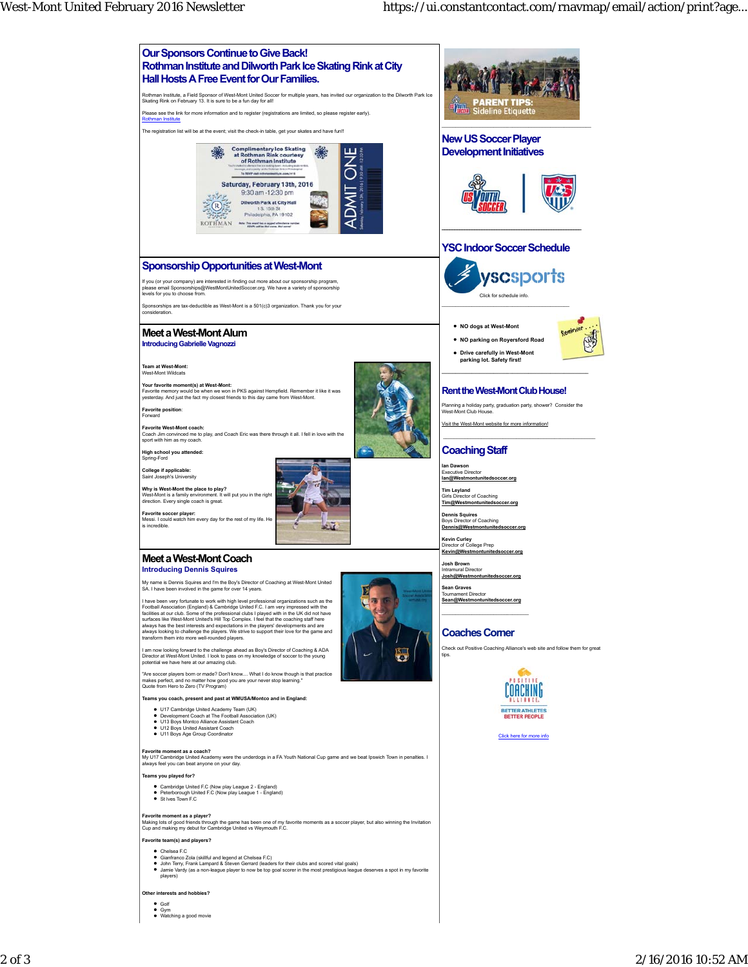